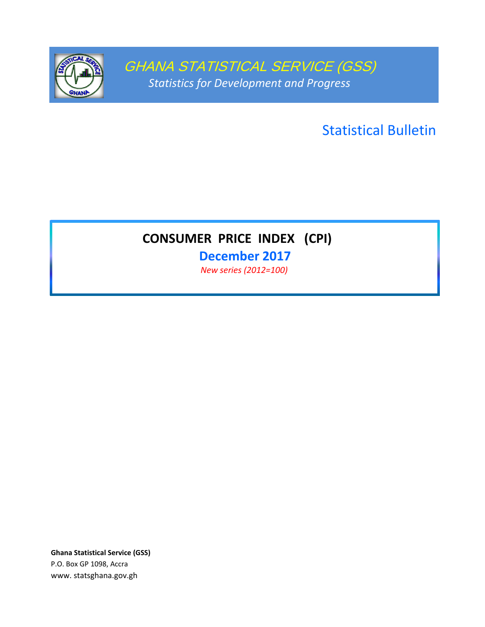

GHANA STATISTICAL SERVICE (GSS) *Statistics for Development and Progress*

Statistical Bulletin

# **CONSUMER PRICE INDEX (CPI)**

**December 2017** *New series (2012=100)* 

**Ghana Statistical Service (GSS)** P.O. Box GP 1098, Accra www. statsghana.gov.gh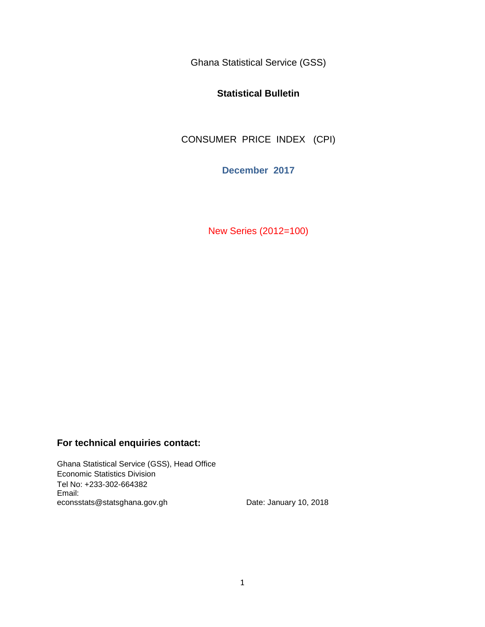Ghana Statistical Service (GSS)

### **Statistical Bulletin**

CONSUMER PRICE INDEX (CPI)

**December 2017**

New Series (2012=100)

## **For technical enquiries contact:**

Ghana Statistical Service (GSS), Head Office Economic Statistics Division Tel No: +233-302-664382 Email: econsstats@statsghana.gov.gh Date: January 10, 2018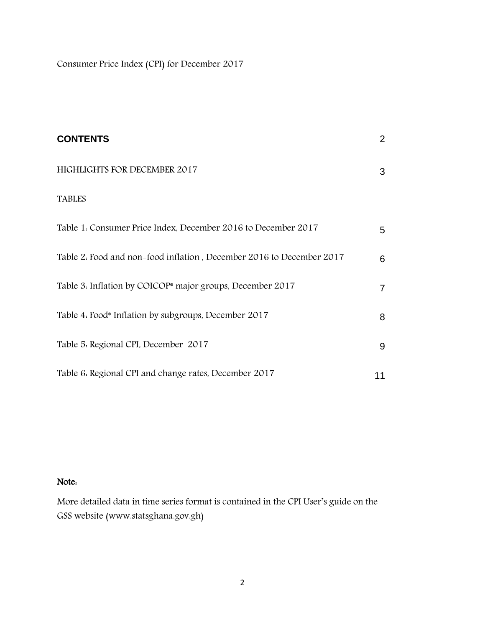Consumer Price Index (CPI) for December 2017

| <b>CONTENTS</b>                                                       | $\overline{2}$ |
|-----------------------------------------------------------------------|----------------|
| HIGHLIGHTS FOR DECEMBER 2017                                          | 3              |
| <b>TABLES</b>                                                         |                |
| Table 1. Consumer Price Index, December 2016 to December 2017         | 5              |
| Table 2. Food and non-food inflation, December 2016 to December 2017  | 6              |
| Table 3. Inflation by COICOP <sup>*</sup> major groups, December 2017 | $\overline{7}$ |
| Table 4. Food* Inflation by subgroups, December 2017                  | 8              |
| Table 5. Regional CPI, December 2017                                  | 9              |
| Table 6. Regional CPI and change rates, December 2017                 | 11             |

# Note:

More detailed data in time series format is contained in the CPI User's guide on the GSS website (www.statsghana.gov.gh)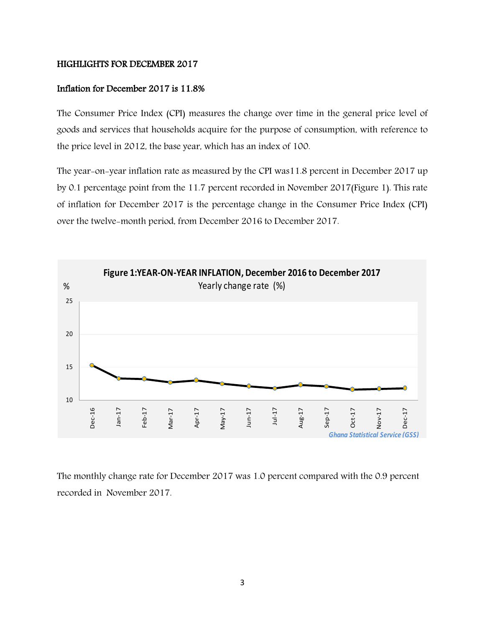#### HIGHLIGHTS FOR DECEMBER 2017

#### Inflation for December 2017 is 11.8%

The Consumer Price Index (CPI) measures the change over time in the general price level of goods and services that households acquire for the purpose of consumption, with reference to the price level in 2012, the base year, which has an index of 100.

The year-on-year inflation rate as measured by the CPI was11.8 percent in December 2017 up by 0.1 percentage point from the 11.7 percent recorded in November 2017(Figure 1). This rate of inflation for December 2017 is the percentage change in the Consumer Price Index (CPI) over the twelve-month period, from December 2016 to December 2017.



The monthly change rate for December 2017 was 1.0 percent compared with the 0.9 percent recorded in November 2017.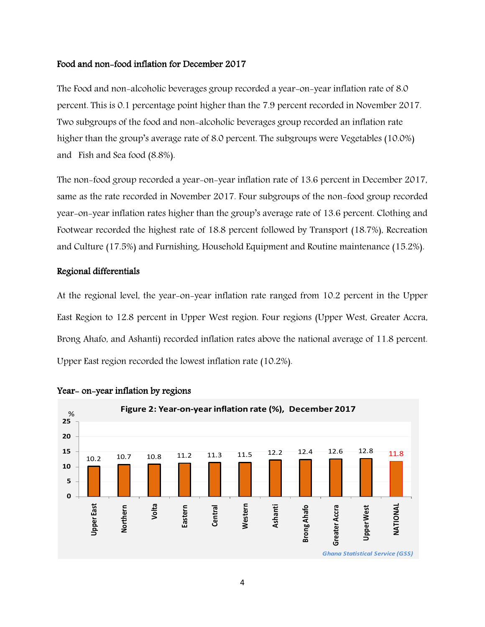#### Food and non-food inflation for December 2017

The Food and non-alcoholic beverages group recorded a year-on-year inflation rate of 8.0 percent. This is 0.1 percentage point higher than the 7.9 percent recorded in November 2017. Two subgroups of the food and non-alcoholic beverages group recorded an inflation rate higher than the group's average rate of 8.0 percent. The subgroups were Vegetables (10.0%) and Fish and Sea food (8.8%).

The non-food group recorded a year-on-year inflation rate of 13.6 percent in December 2017, same as the rate recorded in November 2017. Four subgroups of the non-food group recorded year-on-year inflation rates higher than the group's average rate of 13.6 percent. Clothing and Footwear recorded the highest rate of 18.8 percent followed by Transport (18.7%), Recreation and Culture (17.5%) and Furnishing, Household Equipment and Routine maintenance (15.2%).

#### Regional differentials

At the regional level, the year-on-year inflation rate ranged from 10.2 percent in the Upper East Region to 12.8 percent in Upper West region. Four regions (Upper West, Greater Accra, Brong Ahafo, and Ashanti) recorded inflation rates above the national average of 11.8 percent. Upper East region recorded the lowest inflation rate (10.2%).



#### Year- on-year inflation by regions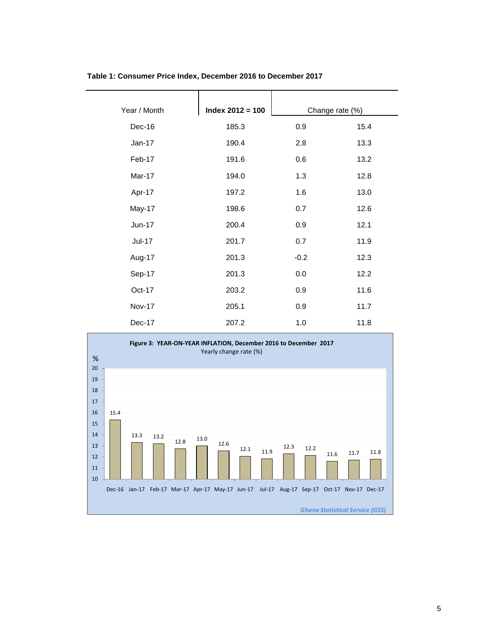| Year / Month | $Index 2012 = 100$ |        | Change rate (%) |
|--------------|--------------------|--------|-----------------|
|              |                    |        |                 |
| Dec-16       | 185.3              | 0.9    | 15.4            |
| Jan-17       | 190.4              | 2.8    | 13.3            |
| Feb-17       | 191.6              | 0.6    | 13.2            |
| Mar-17       | 194.0              | 1.3    | 12.8            |
| Apr-17       | 197.2              | 1.6    | 13.0            |
| May-17       | 198.6              | 0.7    | 12.6            |
| Jun-17       | 200.4              | 0.9    | 12.1            |
| Jul-17       | 201.7              | 0.7    | 11.9            |
| Aug-17       | 201.3              | $-0.2$ | 12.3            |
| Sep-17       | 201.3              | 0.0    | 12.2            |
| Oct-17       | 203.2              | 0.9    | 11.6            |
| Nov-17       | 205.1              | 0.9    | 11.7            |
| Dec-17       | 207.2              | 1.0    | 11.8            |

#### **Table 1: Consumer Price Index, December 2016 to December 2017**

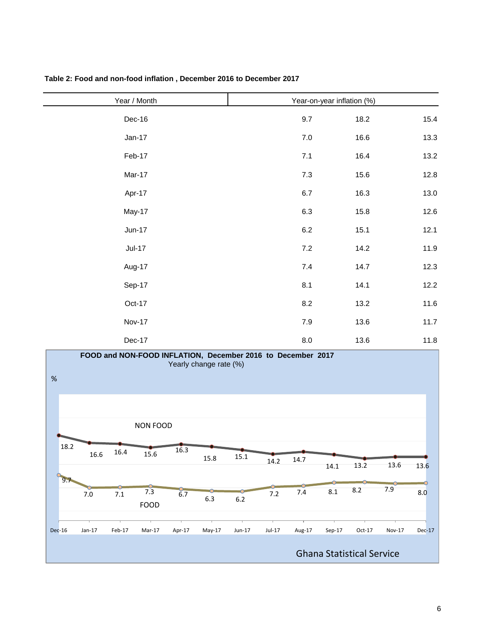| 9.7          | 18.2 | 15.4                       |
|--------------|------|----------------------------|
| $7.0\,$      | 16.6 | 13.3                       |
| 7.1          | 16.4 | 13.2                       |
| $7.3$        | 15.6 | 12.8                       |
| $6.7\,$      | 16.3 | 13.0                       |
| $6.3\,$      | 15.8 | 12.6                       |
| $6.2\,$      | 15.1 | 12.1                       |
| $7.2\,$      | 14.2 | 11.9                       |
| $7.4$        | 14.7 | 12.3                       |
| 8.1          | 14.1 | 12.2                       |
| $8.2\,$      | 13.2 | 11.6                       |
| $7.9\,$      | 13.6 | 11.7                       |
| $_{\rm 8.0}$ | 13.6 | 11.8                       |
|              | . .  | Year-on-year inflation (%) |

#### **Table 2: Food and non-food inflation , December 2016 to December 2017**

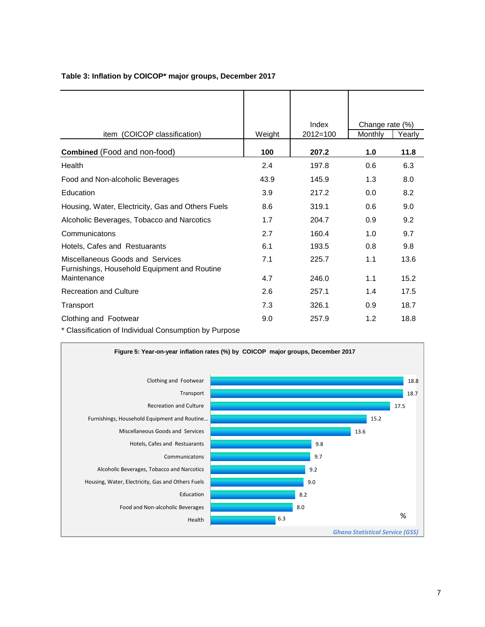| item (COICOP classification)                                                     | Weight | Index<br>2012=100 | Change rate (%)<br>Monthly | Yearly |
|----------------------------------------------------------------------------------|--------|-------------------|----------------------------|--------|
| <b>Combined</b> (Food and non-food)                                              | 100    | 207.2             | 1.0                        | 11.8   |
| Health                                                                           | 2.4    | 197.8             | 0.6                        | 6.3    |
| Food and Non-alcoholic Beverages                                                 | 43.9   | 145.9             | 1.3                        | 8.0    |
| Education                                                                        | 3.9    | 217.2             | 0.0                        | 8.2    |
| Housing, Water, Electricity, Gas and Others Fuels                                | 8.6    | 319.1             | 0.6                        | 9.0    |
| Alcoholic Beverages, Tobacco and Narcotics                                       | 1.7    | 204.7             | 0.9                        | 9.2    |
| Communicatons                                                                    | 2.7    | 160.4             | 1.0                        | 9.7    |
| Hotels, Cafes and Restuarants                                                    | 6.1    | 193.5             | 0.8                        | 9.8    |
| Miscellaneous Goods and Services<br>Furnishings, Household Equipment and Routine | 7.1    | 225.7             | 1.1                        | 13.6   |
| Maintenance                                                                      | 4.7    | 246.0             | 1.1                        | 15.2   |
| <b>Recreation and Culture</b>                                                    | 2.6    | 257.1             | 1.4                        | 17.5   |
| Transport                                                                        | 7.3    | 326.1             | 0.9                        | 18.7   |
| Clothing and Footwear                                                            | 9.0    | 257.9             | 1.2                        | 18.8   |

#### **Table 3: Inflation by COICOP\* major groups, December 2017**

\* Classification of Individual Consumption by Purpose

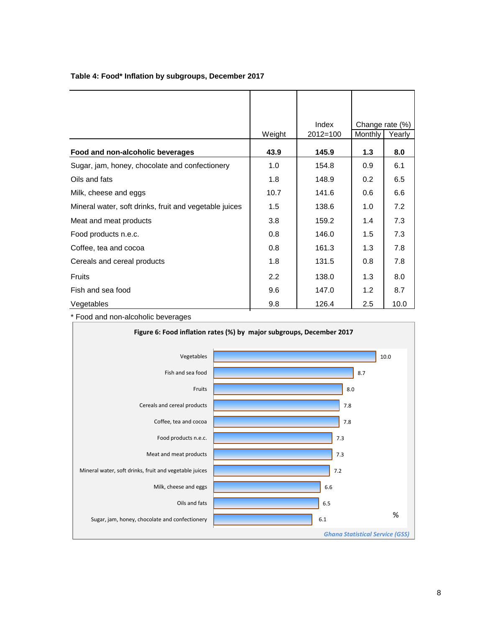|                                                        | Weight           | Index<br>$2012 = 100$ | Change rate (%)<br>Monthly | Yearly |
|--------------------------------------------------------|------------------|-----------------------|----------------------------|--------|
| Food and non-alcoholic beverages                       | 43.9             | 145.9                 | 1.3                        | 8.0    |
| Sugar, jam, honey, chocolate and confectionery         | 1.0              | 154.8                 | 0.9                        | 6.1    |
| Oils and fats                                          | 1.8              | 148.9                 | 0.2                        | 6.5    |
| Milk, cheese and eggs                                  | 10.7             | 141.6                 | 0.6                        | 6.6    |
| Mineral water, soft drinks, fruit and vegetable juices | 1.5              | 138.6                 | 1.0                        | 7.2    |
| Meat and meat products                                 | 3.8              | 159.2                 | 1.4                        | 7.3    |
| Food products n.e.c.                                   | 0.8              | 146.0                 | 1.5                        | 7.3    |
| Coffee, tea and cocoa                                  | 0.8              | 161.3                 | 1.3                        | 7.8    |
| Cereals and cereal products                            | 1.8              | 131.5                 | 0.8                        | 7.8    |
| <b>Fruits</b>                                          | $2.2\phantom{0}$ | 138.0                 | 1.3                        | 8.0    |
| Fish and sea food                                      | 9.6              | 147.0                 | 1.2                        | 8.7    |
| Vegetables                                             | 9.8              | 126.4                 | 2.5                        | 10.0   |

#### **Table 4: Food\* Inflation by subgroups, December 2017**

\* Food and non-alcoholic beverages

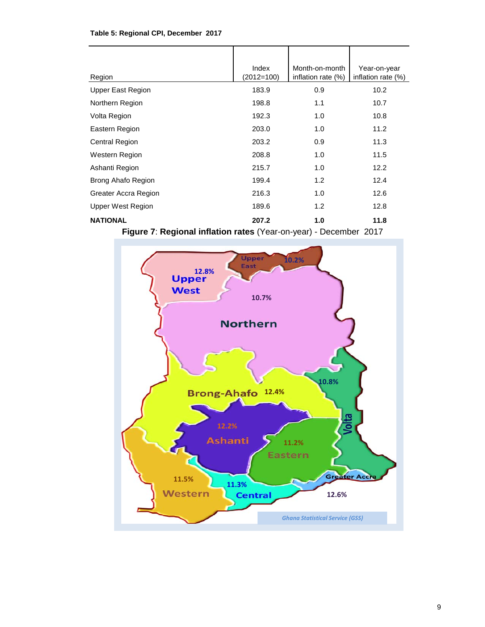#### **Table 5: Regional CPI, December 2017**

| Region                                                   | Index<br>$(2012=100)$ | Month-on-month<br>inflation rate $(\%)$ | Year-on-year<br>inflation rate $(\%)$ |  |
|----------------------------------------------------------|-----------------------|-----------------------------------------|---------------------------------------|--|
| Upper East Region                                        | 183.9                 | 0.9                                     | 10.2                                  |  |
| Northern Region                                          | 198.8                 | 1.1                                     | 10.7                                  |  |
| Volta Region                                             | 192.3                 | 1.0                                     | 10.8                                  |  |
| Eastern Region                                           | 203.0                 | 1.0                                     | 11.2                                  |  |
| <b>Central Region</b>                                    | 203.2                 | 0.9                                     | 11.3                                  |  |
| Western Region                                           | 208.8                 | 1.0                                     | 11.5                                  |  |
| Ashanti Region                                           | 215.7                 | 1.0                                     | 12.2                                  |  |
| Brong Ahafo Region                                       | 199.4                 | 1.2                                     | 12.4                                  |  |
| Greater Accra Region                                     | 216.3                 | 1.0                                     | 12.6                                  |  |
| Upper West Region                                        | 189.6                 | 1.2                                     | 12.8                                  |  |
| <b>NATIONAL</b>                                          | 207.2                 | 1.0                                     | 11.8                                  |  |
| 7. Besiesel isfleties seten (Vees en vees) December 0047 |                       |                                         |                                       |  |